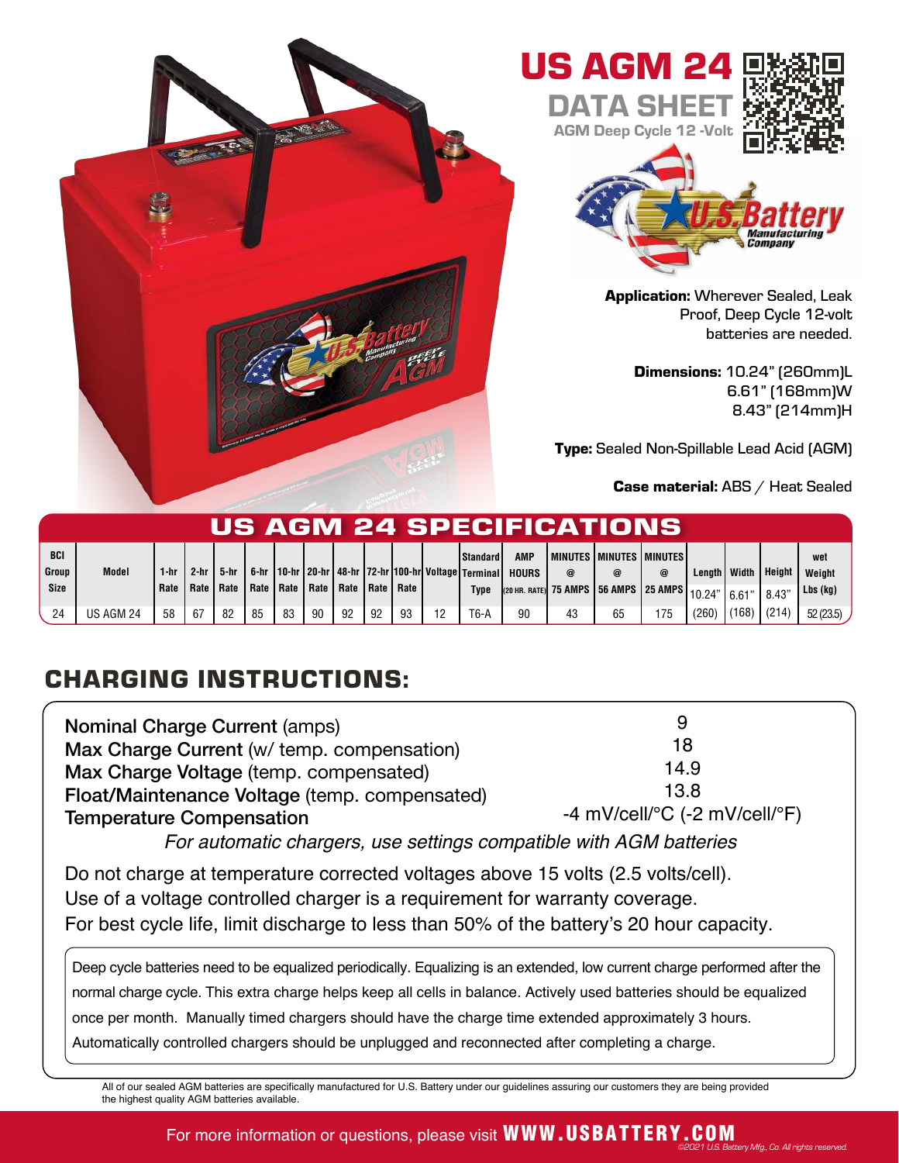

| US AGM 24 SPECIFICATIONS |              |      |             |        |             |    |    |                           |    |    |    |                                                                                              |                     |          |                                                    |     |                     |       |        |               |
|--------------------------|--------------|------|-------------|--------|-------------|----|----|---------------------------|----|----|----|----------------------------------------------------------------------------------------------|---------------------|----------|----------------------------------------------------|-----|---------------------|-------|--------|---------------|
| <b>BCI</b><br>Group      | <b>Model</b> | 1-hr | $2-hr$      | 5-hr I |             |    |    |                           |    |    |    | Standard<br>, 6-hr   10-hr   20-hr   48-hr   72-hr   100-hr  Voltage   Terminal <sup> </sup> | AMP<br><b>HOURS</b> | $\omega$ | <b>I MINUTES I MINUTES I MINUTES!</b><br>@         | @   | Lenath <i>Width</i> |       | Height | wet<br>Weight |
| <b>Size</b>              |              | Rate | Rate   Rate |        | Rate   Rate |    |    | Rate   Rate   Rate   Rate |    |    |    | Type                                                                                         |                     |          | (20 HR. RATE) 75 AMPS 56 AMPS 25 AMPS 10.24" 6.61" |     |                     |       | 8.43"  | $Lbs$ (kg)    |
| 24                       | US AGM 24    | 58   | -67         | 82     | 85          | 83 | 90 | 92                        | 92 | 93 | 12 | T6-A                                                                                         | 90                  | 43       | 65                                                 | 175 | (260)               | (168) | (214)  | 52(23.5)      |

## CHARGING INSTRUCTIONS:

| <b>Nominal Charge Current (amps)</b>          | 9                                                       |  |  |  |  |  |
|-----------------------------------------------|---------------------------------------------------------|--|--|--|--|--|
| Max Charge Current (w/ temp. compensation)    | 18                                                      |  |  |  |  |  |
| Max Charge Voltage (temp. compensated)        | 14.9                                                    |  |  |  |  |  |
| Float/Maintenance Voltage (temp. compensated) | 13.8                                                    |  |  |  |  |  |
| <b>Temperature Compensation</b>               | -4 mV/cell/ ${}^{\circ}$ C (-2 mV/cell/ ${}^{\circ}$ F) |  |  |  |  |  |
|                                               |                                                         |  |  |  |  |  |

For automatic chargers, use settings compatible with AGM batteries

Do not charge at temperature corrected voltages above 15 volts (2.5 volts/cell). Use of a voltage controlled charger is a requirement for warranty coverage. For best cycle life, limit discharge to less than 50% of the battery's 20 hour capacity.

Deep cycle batteries need to be equalized periodically. Equalizing is an extended, low current charge performed after the normal charge cycle. This extra charge helps keep all cells in balance. Actively used batteries should be equalized once per month. Manually timed chargers should have the charge time extended approximately 3 hours. Automatically controlled chargers should be unplugged and reconnected after completing a charge.

All of our sealed AGM batteries are specifically manufactured for U.S. Battery under our guidelines assuring our customers they are being provided the highest quality AGM batteries available.

## For more information or questions, please visit WWW.USBATTERY.COM ©2021 U.S. Battery Mfg., Co. All rights reserved.